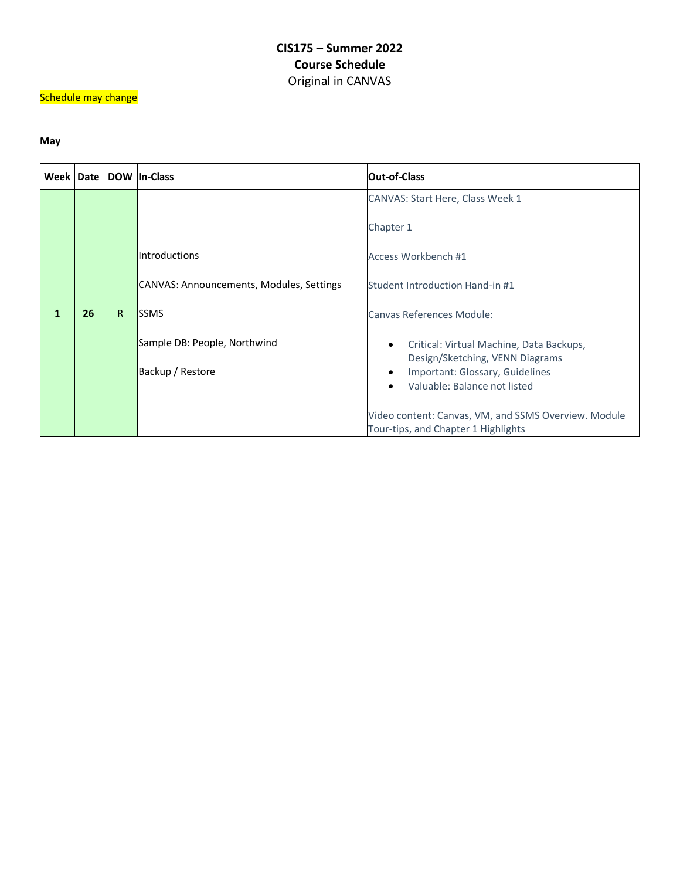## Schedule may change

## **May**

| Week   Date |    |   | DOW In-Class                             | <b>Out-of-Class</b>                                                                         |
|-------------|----|---|------------------------------------------|---------------------------------------------------------------------------------------------|
|             |    |   |                                          | CANVAS: Start Here, Class Week 1                                                            |
|             |    |   |                                          | Chapter 1                                                                                   |
|             |    |   | <b>Introductions</b>                     | Access Workbench #1                                                                         |
|             |    |   | CANVAS: Announcements, Modules, Settings | Student Introduction Hand-in #1                                                             |
| 1           | 26 | R | <b>ISSMS</b>                             | Canvas References Module:                                                                   |
|             |    |   | Sample DB: People, Northwind             | Critical: Virtual Machine, Data Backups,<br>Design/Sketching, VENN Diagrams                 |
|             |    |   | Backup / Restore                         | Important: Glossary, Guidelines<br>Valuable: Balance not listed                             |
|             |    |   |                                          |                                                                                             |
|             |    |   |                                          | Video content: Canvas, VM, and SSMS Overview. Module<br>Tour-tips, and Chapter 1 Highlights |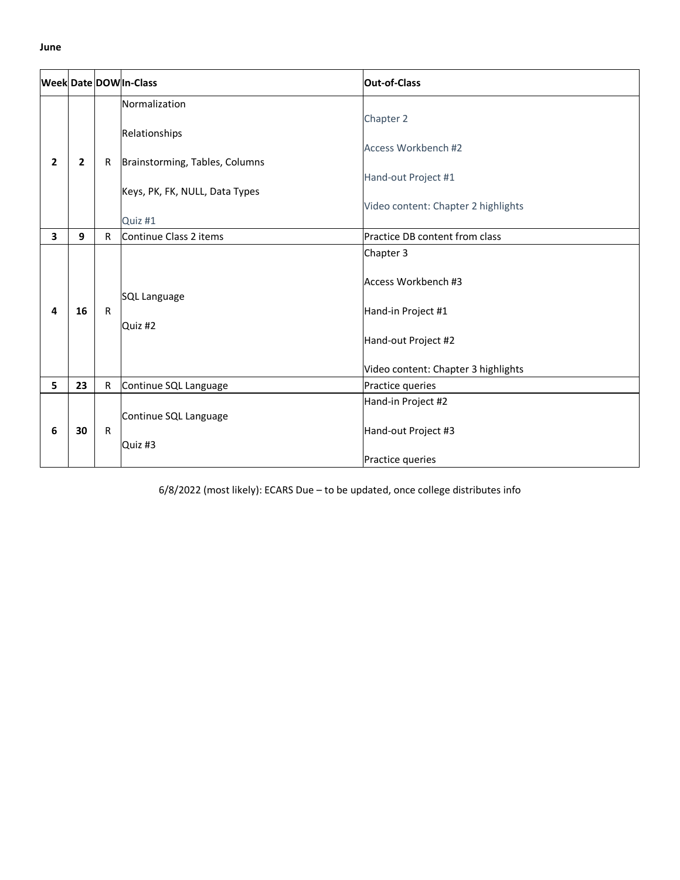|                |    |              | Week Date DOW In-Class           | <b>Out-of-Class</b>                                                                                                  |
|----------------|----|--------------|----------------------------------|----------------------------------------------------------------------------------------------------------------------|
|                |    |              | Normalization<br>Relationships   | Chapter 2                                                                                                            |
| $\overline{2}$ | 2  | R            | Brainstorming, Tables, Columns   | Access Workbench #2                                                                                                  |
|                |    |              | Keys, PK, FK, NULL, Data Types   | Hand-out Project #1                                                                                                  |
|                |    |              | Quiz #1                          | Video content: Chapter 2 highlights                                                                                  |
| 3              | 9  | $\mathsf{R}$ | Continue Class 2 items           | Practice DB content from class                                                                                       |
| 4              | 16 | R            | SQL Language<br>Quiz #2          | Chapter 3<br>Access Workbench #3<br>Hand-in Project #1<br>Hand-out Project #2<br>Video content: Chapter 3 highlights |
| 5              | 23 | R            | Continue SQL Language            | Practice queries                                                                                                     |
| 6              | 30 | R            | Continue SQL Language<br>Quiz #3 | Hand-in Project #2<br>Hand-out Project #3<br>Practice queries                                                        |

6/8/2022 (most likely): ECARS Due – to be updated, once college distributes info

**June**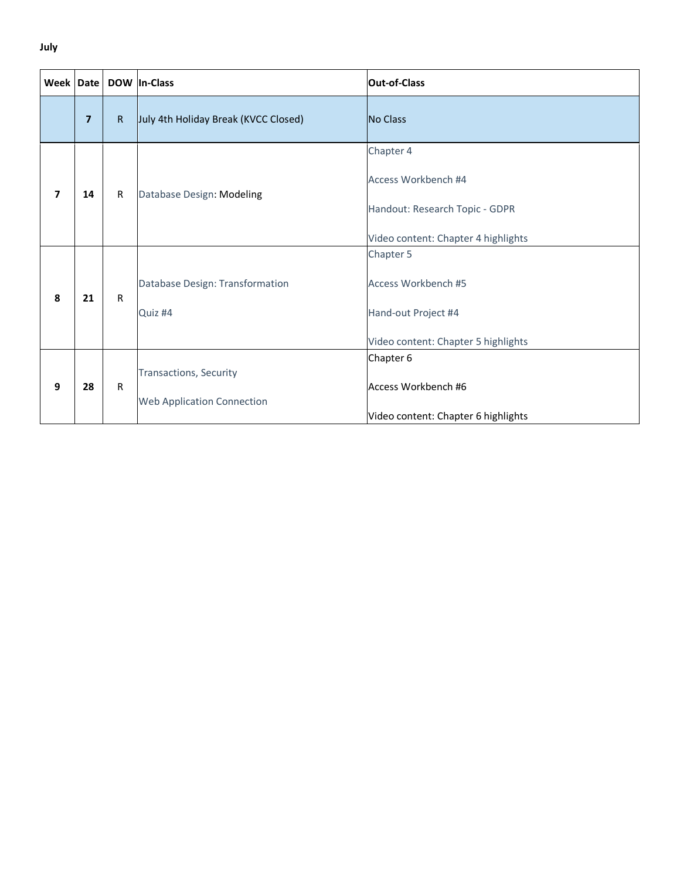## **July**

| Week Date               |                |              | DOW In-Class                                                | <b>Out-of-Class</b>                                                                                       |
|-------------------------|----------------|--------------|-------------------------------------------------------------|-----------------------------------------------------------------------------------------------------------|
|                         | $\overline{7}$ | $\mathsf{R}$ | July 4th Holiday Break (KVCC Closed)                        | No Class                                                                                                  |
| $\overline{\mathbf{z}}$ | 14             | R            | Database Design: Modeling                                   | Chapter 4<br>Access Workbench #4<br>Handout: Research Topic - GDPR<br>Video content: Chapter 4 highlights |
| 8                       | 21             | $\mathsf{R}$ | Database Design: Transformation<br>Quiz #4                  | Chapter 5<br>Access Workbench #5<br>Hand-out Project #4<br>Video content: Chapter 5 highlights            |
| 9                       | 28             | ${\sf R}$    | Transactions, Security<br><b>Web Application Connection</b> | Chapter 6<br>Access Workbench #6<br>Video content: Chapter 6 highlights                                   |